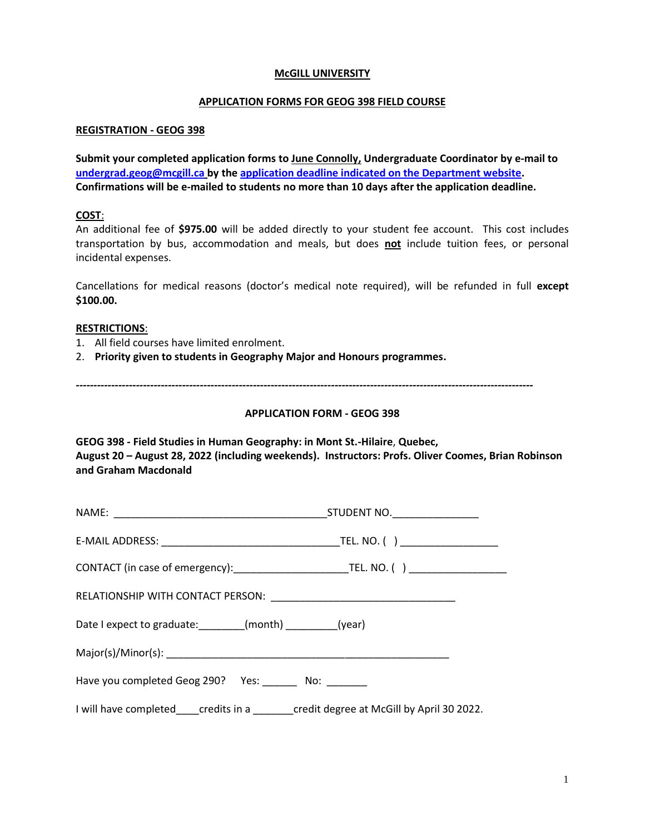### **McGILL UNIVERSITY**

# **APPLICATION FORMS FOR GEOG 398 FIELD COURSE**

# **REGISTRATION - GEOG 398**

**Submit your completed application forms to June Connolly, Undergraduate Coordinator by e-mail to [undergrad.geog@mcgill.ca](mailto:undergrad.geog@mcgill.ca) by the [application deadline indicated on the Department website.](https://www.mcgill.ca/geography/) Confirmations will be e-mailed to students no more than 10 days after the application deadline.** 

# **COST**:

An additional fee of **\$975.00** will be added directly to your student fee account. This cost includes transportation by bus, accommodation and meals, but does **not** include tuition fees, or personal incidental expenses.

Cancellations for medical reasons (doctor's medical note required), will be refunded in full **except \$100.00.** 

#### **RESTRICTIONS**:

- 1. All field courses have limited enrolment.
- 2. **Priority given to students in Geography Major and Honours programmes.**

*---------------------------------------------------------------------------------------------------------------------------------*

# **APPLICATION FORM - GEOG 398**

**GEOG 398 - Field Studies in Human Geography: in Mont St.-Hilaire**, **Quebec, August 20 – August 28, 2022 (including weekends). Instructors: Profs. Oliver Coomes, Brian Robinson and Graham Macdonald**

| Date I expect to graduate: ________(month) _________(year)                   |  |  |  |  |
|------------------------------------------------------------------------------|--|--|--|--|
|                                                                              |  |  |  |  |
| Have you completed Geog 290? Yes: No:                                        |  |  |  |  |
| I will have completed credits in a credit degree at McGill by April 30 2022. |  |  |  |  |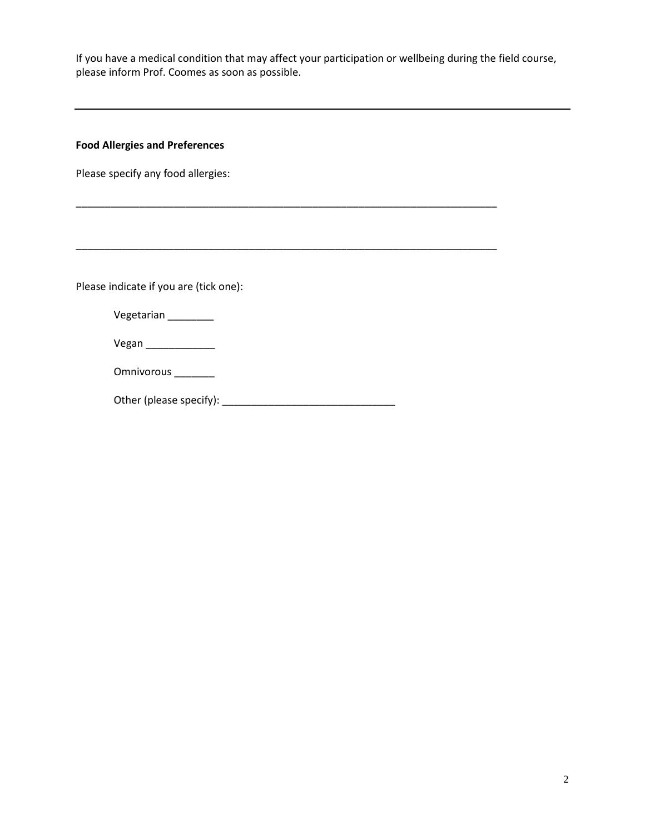If you have a medical condition that may affect your participation or wellbeing during the field course, please inform Prof. Coomes as soon as possible.

\_\_\_\_\_\_\_\_\_\_\_\_\_\_\_\_\_\_\_\_\_\_\_\_\_\_\_\_\_\_\_\_\_\_\_\_\_\_\_\_\_\_\_\_\_\_\_\_\_\_\_\_\_\_\_\_\_\_\_\_\_\_\_\_\_\_\_\_\_\_\_\_\_

\_\_\_\_\_\_\_\_\_\_\_\_\_\_\_\_\_\_\_\_\_\_\_\_\_\_\_\_\_\_\_\_\_\_\_\_\_\_\_\_\_\_\_\_\_\_\_\_\_\_\_\_\_\_\_\_\_\_\_\_\_\_\_\_\_\_\_\_\_\_\_\_\_

# **Food Allergies and Preferences**

Please specify any food allergies:

Please indicate if you are (tick one):

| Vegetarian |  |
|------------|--|
|------------|--|

Vegan \_\_\_\_\_\_\_\_\_\_\_\_

Omnivorous \_\_\_\_\_\_\_

Other (please specify): \_\_\_\_\_\_\_\_\_\_\_\_\_\_\_\_\_\_\_\_\_\_\_\_\_\_\_\_\_\_